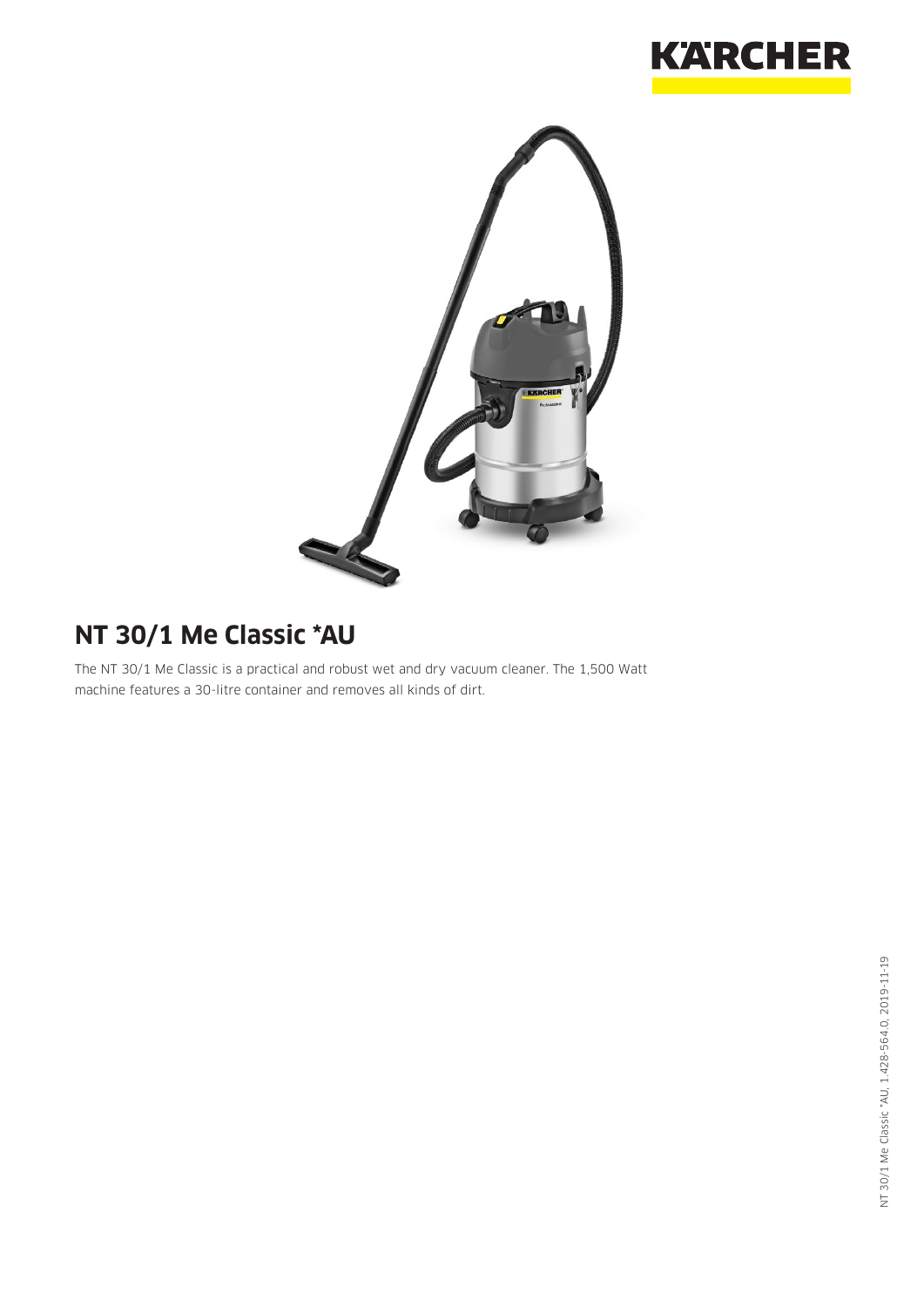



# **NT 30/1 Me Classic \*AU**

The NT 30/1 Me Classic is a practical and robust wet and dry vacuum cleaner. The 1,500 Watt machine features a 30-litre container and removes all kinds of dirt.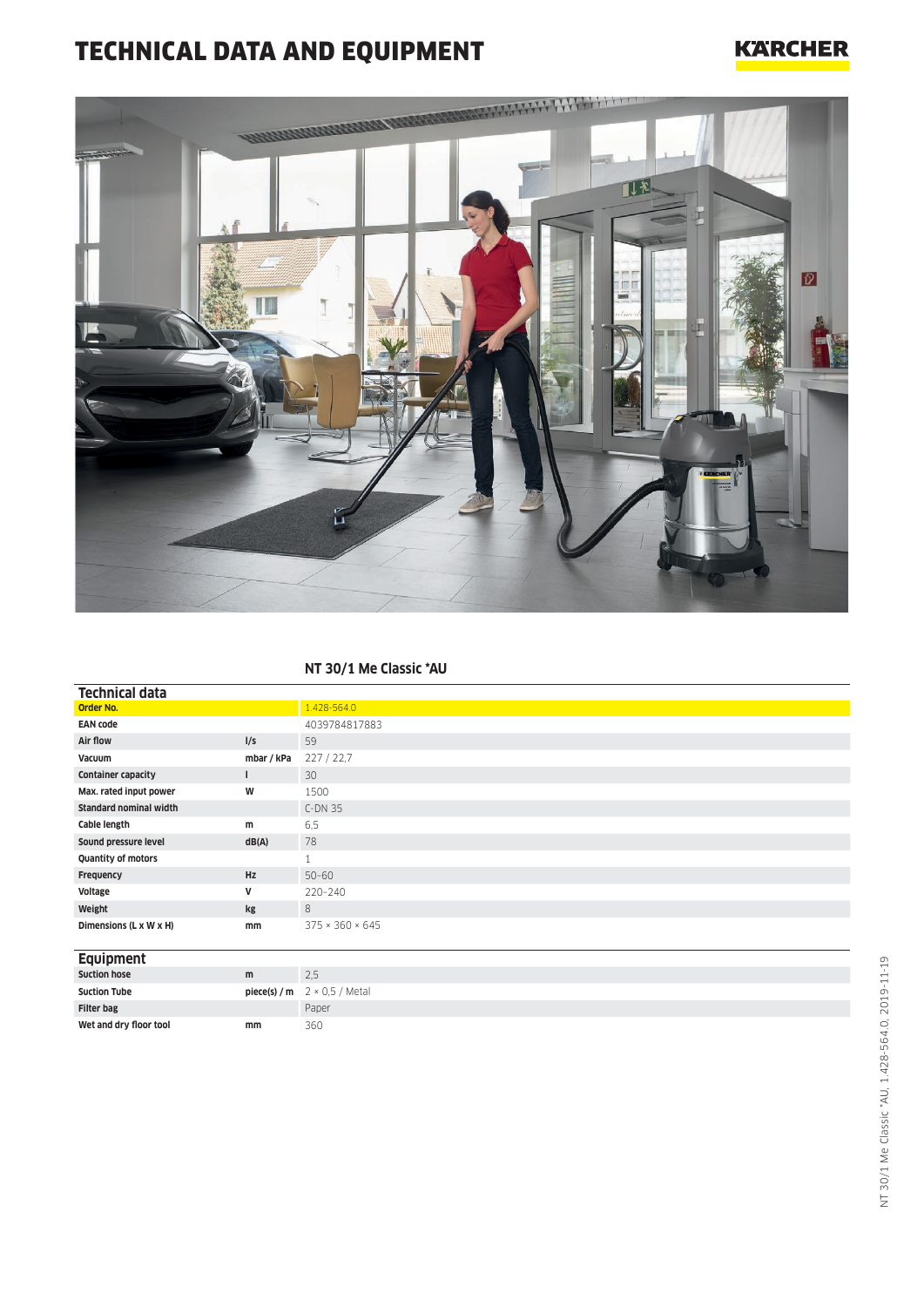## TECHNICAL DATA AND EQUIPMENT

### **KARCHER**



#### **NT 30/1 Me Classic \*AU**

| <b>Technical data</b>         |            |                             |
|-------------------------------|------------|-----------------------------|
| <b>Order No.</b>              |            | 1.428-564.0                 |
| <b>EAN code</b>               |            | 4039784817883               |
| Air flow                      | I/S        | 59                          |
| Vacuum                        | mbar / kPa | 227/22.7                    |
| <b>Container capacity</b>     |            | 30                          |
| Max. rated input power        | W          | 1500                        |
| <b>Standard nominal width</b> |            | $C-DN35$                    |
| Cable length                  | m          | 6,5                         |
| Sound pressure level          | dB(A)      | 78                          |
| Quantity of motors            |            | $\mathbf{1}$                |
| Frequency                     | <b>Hz</b>  | $50 - 60$                   |
| Voltage                       | V          | 220-240                     |
| Weight                        | kg         | 8                           |
| Dimensions (L x W x H)        | mm         | $375 \times 360 \times 645$ |
|                               |            |                             |
| $\sim$                        |            |                             |

#### **Equipment**

| <b>Suction hose</b>    | m  | 2.5                                     |
|------------------------|----|-----------------------------------------|
| <b>Suction Tube</b>    |    | <b>piece(s)/m</b> $2 \times 0.5$ /Metal |
| <b>Filter bag</b>      |    | Paper                                   |
| Wet and dry floor tool | mm | 360                                     |